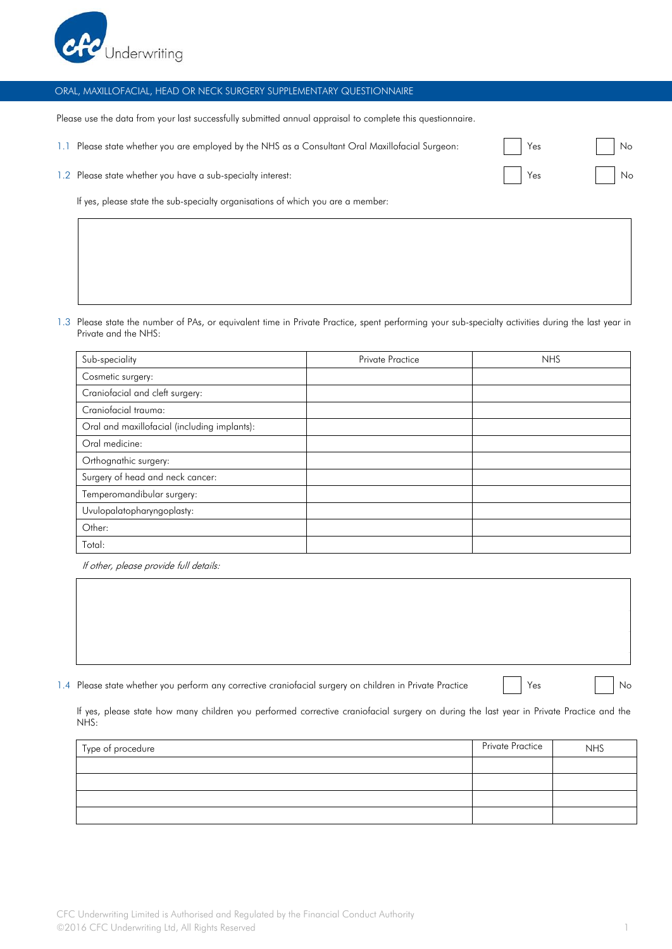

## ORAL, MAXILLOFACIAL, HEAD OR NECK SURGERY SUPPLEMENTARY QUESTIONNAIRE

Please use the data from your last successfully submitted annual appraisal to complete this questionnaire.

| Please state whether you are employed by the NHS as a Consultant Oral Maxillofacial Surgeon: | $\vert \vert$ Yes | No. |  |
|----------------------------------------------------------------------------------------------|-------------------|-----|--|
| 1.2 Please state whether you have a sub-specialty interest:                                  | Yes No            |     |  |
|                                                                                              |                   |     |  |

If yes, please state the sub-specialty organisations of which you are a member:

1.3 Please state the number of PAs, or equivalent time in Private Practice, spent performing your sub-specialty activities during the last year in Private and the NHS:

| Sub-speciality                               | <b>Private Practice</b> | <b>NHS</b> |
|----------------------------------------------|-------------------------|------------|
| Cosmetic surgery:                            |                         |            |
| Craniofacial and cleft surgery:              |                         |            |
| Craniofacial trauma:                         |                         |            |
| Oral and maxillofacial (including implants): |                         |            |
| Oral medicine:                               |                         |            |
| Orthognathic surgery:                        |                         |            |
| Surgery of head and neck cancer:             |                         |            |
| Temperomandibular surgery:                   |                         |            |
| Uvulopalatopharyngoplasty:                   |                         |            |
| Other:                                       |                         |            |
| Total:                                       |                         |            |

If other, please provide full details:

1.4 Please state whether you perform any corrective craniofacial surgery on children in Private Practice | Yes No

If yes, please state how many children you performed corrective craniofacial surgery on during the last year in Private Practice and the NHS:

| Type of procedure | Private Practice | <b>NHS</b> |
|-------------------|------------------|------------|
|                   |                  |            |
|                   |                  |            |
|                   |                  |            |
|                   |                  |            |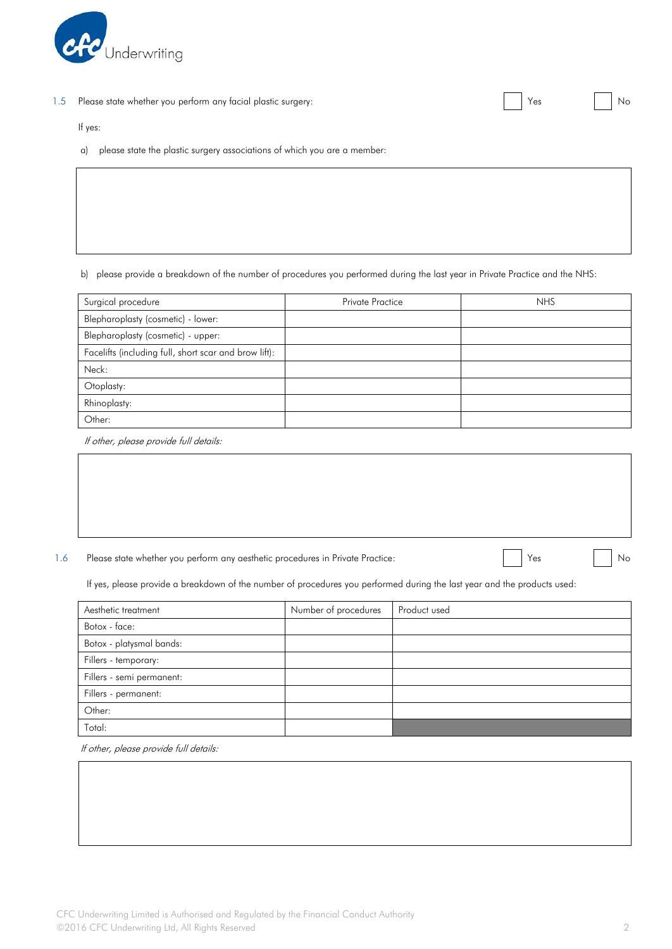

1.5 Please state whether you perform any facial plastic surgery: No we are No we are No World Way No World Way

If yes:

a) please state the plastic surgery associations of which you are a member:

b) please provide a breakdown of the number of procedures you performed during the last year in Private Practice and the NHS:

| Surgical procedure                                    | <b>Private Practice</b> | <b>NHS</b> |
|-------------------------------------------------------|-------------------------|------------|
| Blepharoplasty (cosmetic) - lower:                    |                         |            |
| Blepharoplasty (cosmetic) - upper:                    |                         |            |
| Facelifts (including full, short scar and brow lift): |                         |            |
| Neck:                                                 |                         |            |
| Otoplasty:                                            |                         |            |
| Rhinoplasty:                                          |                         |            |
| Other:                                                |                         |            |

If other, please provide full details:

1.6 Please state whether you perform any aesthetic procedures in Private Practice: No No No No No No No No No

If yes, please provide a breakdown of the number of procedures you performed during the last year and the products used:

| Aesthetic treatment       | Number of procedures | Product used |
|---------------------------|----------------------|--------------|
| Botox - face:             |                      |              |
| Botox - platysmal bands:  |                      |              |
| Fillers - temporary:      |                      |              |
| Fillers - semi permanent: |                      |              |
| Fillers - permanent:      |                      |              |
| Other:                    |                      |              |
| Total:                    |                      |              |

If other, please provide full details: